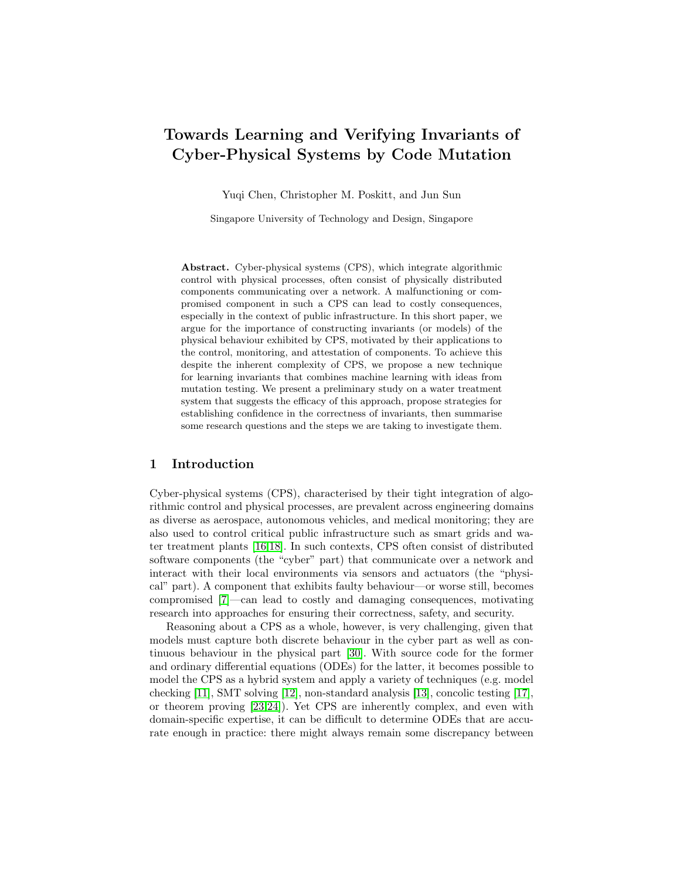# Towards Learning and Verifying Invariants of Cyber-Physical Systems by Code Mutation

Yuqi Chen, Christopher M. Poskitt, and Jun Sun

Singapore University of Technology and Design, Singapore

Abstract. Cyber-physical systems (CPS), which integrate algorithmic control with physical processes, often consist of physically distributed components communicating over a network. A malfunctioning or compromised component in such a CPS can lead to costly consequences, especially in the context of public infrastructure. In this short paper, we argue for the importance of constructing invariants (or models) of the physical behaviour exhibited by CPS, motivated by their applications to the control, monitoring, and attestation of components. To achieve this despite the inherent complexity of CPS, we propose a new technique for learning invariants that combines machine learning with ideas from mutation testing. We present a preliminary study on a water treatment system that suggests the efficacy of this approach, propose strategies for establishing confidence in the correctness of invariants, then summarise some research questions and the steps we are taking to investigate them.

## 1 Introduction

Cyber-physical systems (CPS), characterised by their tight integration of algorithmic control and physical processes, are prevalent across engineering domains as diverse as aerospace, autonomous vehicles, and medical monitoring; they are also used to control critical public infrastructure such as smart grids and water treatment plants [\[16,](#page-7-0)[18\]](#page-7-1). In such contexts, CPS often consist of distributed software components (the "cyber" part) that communicate over a network and interact with their local environments via sensors and actuators (the "physical" part). A component that exhibits faulty behaviour—or worse still, becomes compromised [\[7\]](#page-7-2)—can lead to costly and damaging consequences, motivating research into approaches for ensuring their correctness, safety, and security.

Reasoning about a CPS as a whole, however, is very challenging, given that models must capture both discrete behaviour in the cyber part as well as continuous behaviour in the physical part [\[30\]](#page-8-0). With source code for the former and ordinary differential equations (ODEs) for the latter, it becomes possible to model the CPS as a hybrid system and apply a variety of techniques (e.g. model checking [\[11\]](#page-7-3), SMT solving [\[12\]](#page-7-4), non-standard analysis [\[13\]](#page-7-5), concolic testing [\[17\]](#page-7-6), or theorem proving [\[23,](#page-8-1)[24\]](#page-8-2)). Yet CPS are inherently complex, and even with domain-specific expertise, it can be difficult to determine ODEs that are accurate enough in practice: there might always remain some discrepancy between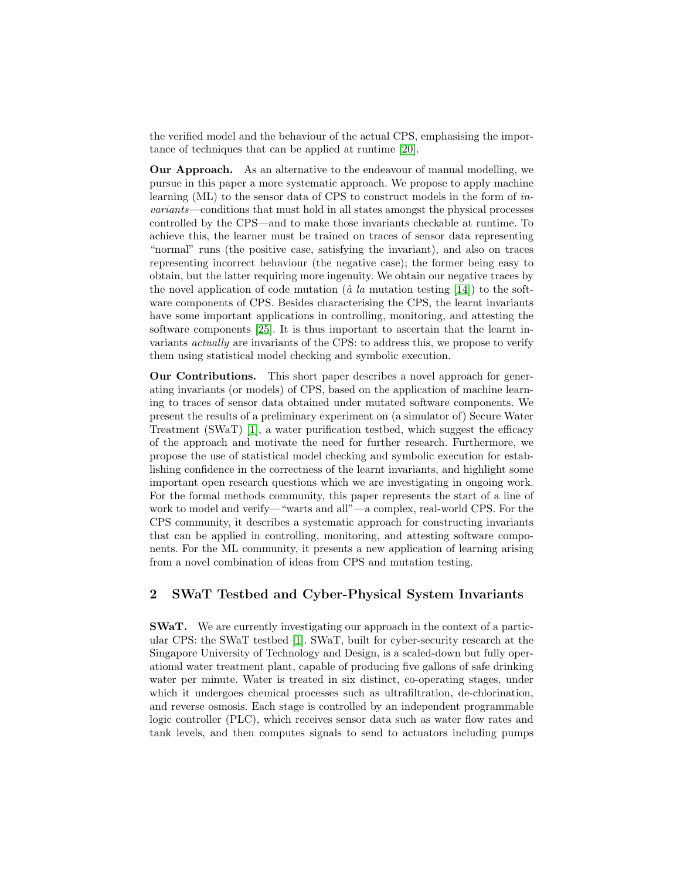the verified model and the behaviour of the actual CPS, emphasising the importance of techniques that can be applied at runtime [\[20\]](#page-7-7).

Our Approach. As an alternative to the endeavour of manual modelling, we pursue in this paper a more systematic approach. We propose to apply machine learning (ML) to the sensor data of CPS to construct models in the form of invariants—conditions that must hold in all states amongst the physical processes controlled by the CPS—and to make those invariants checkable at runtime. To achieve this, the learner must be trained on traces of sensor data representing "normal" runs (the positive case, satisfying the invariant), and also on traces representing incorrect behaviour (the negative case); the former being easy to obtain, but the latter requiring more ingenuity. We obtain our negative traces by the novel application of code mutation ( $\dot{a}$  la mutation testing [\[14\]](#page-7-8)) to the software components of CPS. Besides characterising the CPS, the learnt invariants have some important applications in controlling, monitoring, and attesting the software components [\[25\]](#page-8-3). It is thus important to ascertain that the learnt invariants actually are invariants of the CPS: to address this, we propose to verify them using statistical model checking and symbolic execution.

Our Contributions. This short paper describes a novel approach for generating invariants (or models) of CPS, based on the application of machine learning to traces of sensor data obtained under mutated software components. We present the results of a preliminary experiment on (a simulator of) Secure Water Treatment (SWaT) [\[1\]](#page-6-0), a water purification testbed, which suggest the efficacy of the approach and motivate the need for further research. Furthermore, we propose the use of statistical model checking and symbolic execution for establishing confidence in the correctness of the learnt invariants, and highlight some important open research questions which we are investigating in ongoing work. For the formal methods community, this paper represents the start of a line of work to model and verify—"warts and all"—a complex, real-world CPS. For the CPS community, it describes a systematic approach for constructing invariants that can be applied in controlling, monitoring, and attesting software components. For the ML community, it presents a new application of learning arising from a novel combination of ideas from CPS and mutation testing.

# 2 SWaT Testbed and Cyber-Physical System Invariants

SWaT. We are currently investigating our approach in the context of a particular CPS: the SWaT testbed [\[1\]](#page-6-0). SWaT, built for cyber-security research at the Singapore University of Technology and Design, is a scaled-down but fully operational water treatment plant, capable of producing five gallons of safe drinking water per minute. Water is treated in six distinct, co-operating stages, under which it undergoes chemical processes such as ultrafiltration, de-chlorination, and reverse osmosis. Each stage is controlled by an independent programmable logic controller (PLC), which receives sensor data such as water flow rates and tank levels, and then computes signals to send to actuators including pumps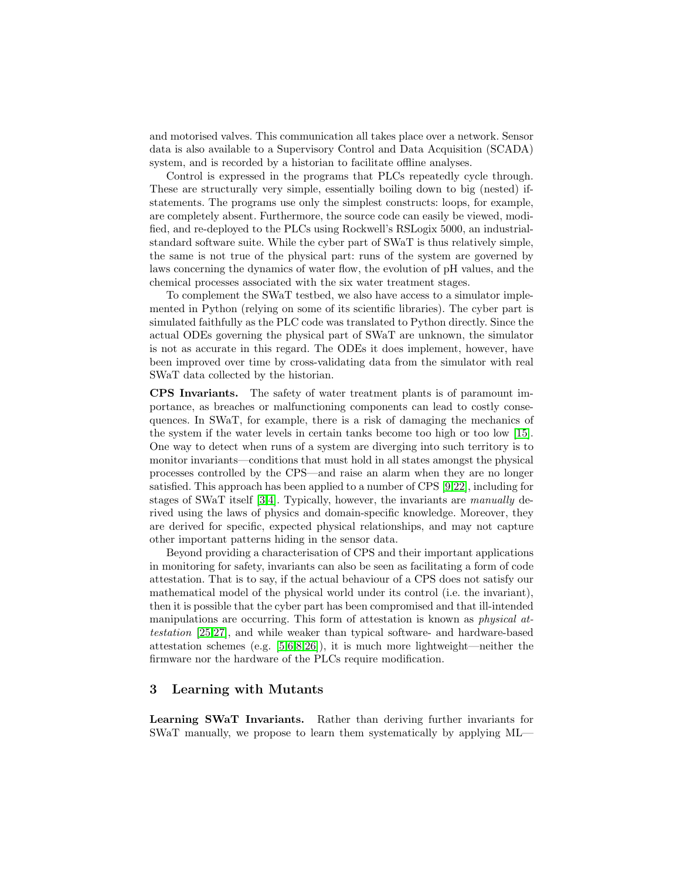and motorised valves. This communication all takes place over a network. Sensor data is also available to a Supervisory Control and Data Acquisition (SCADA) system, and is recorded by a historian to facilitate offline analyses.

Control is expressed in the programs that PLCs repeatedly cycle through. These are structurally very simple, essentially boiling down to big (nested) ifstatements. The programs use only the simplest constructs: loops, for example, are completely absent. Furthermore, the source code can easily be viewed, modified, and re-deployed to the PLCs using Rockwell's RSLogix 5000, an industrialstandard software suite. While the cyber part of SWaT is thus relatively simple, the same is not true of the physical part: runs of the system are governed by laws concerning the dynamics of water flow, the evolution of pH values, and the chemical processes associated with the six water treatment stages.

To complement the SWaT testbed, we also have access to a simulator implemented in Python (relying on some of its scientific libraries). The cyber part is simulated faithfully as the PLC code was translated to Python directly. Since the actual ODEs governing the physical part of SWaT are unknown, the simulator is not as accurate in this regard. The ODEs it does implement, however, have been improved over time by cross-validating data from the simulator with real SWaT data collected by the historian.

CPS Invariants. The safety of water treatment plants is of paramount importance, as breaches or malfunctioning components can lead to costly consequences. In SWaT, for example, there is a risk of damaging the mechanics of the system if the water levels in certain tanks become too high or too low [\[15\]](#page-7-9). One way to detect when runs of a system are diverging into such territory is to monitor invariants—conditions that must hold in all states amongst the physical processes controlled by the CPS—and raise an alarm when they are no longer satisfied. This approach has been applied to a number of CPS [\[9,](#page-7-10)[22\]](#page-8-4), including for stages of SWaT itself [\[3,](#page-6-1)[4\]](#page-6-2). Typically, however, the invariants are manually derived using the laws of physics and domain-specific knowledge. Moreover, they are derived for specific, expected physical relationships, and may not capture other important patterns hiding in the sensor data.

Beyond providing a characterisation of CPS and their important applications in monitoring for safety, invariants can also be seen as facilitating a form of code attestation. That is to say, if the actual behaviour of a CPS does not satisfy our mathematical model of the physical world under its control (i.e. the invariant), then it is possible that the cyber part has been compromised and that ill-intended manipulations are occurring. This form of attestation is known as physical attestation [\[25](#page-8-3)[,27\]](#page-8-5), and while weaker than typical software- and hardware-based attestation schemes (e.g. [\[5](#page-7-11)[,6,](#page-7-12)[8,](#page-7-13)[26\]](#page-8-6)), it is much more lightweight—neither the firmware nor the hardware of the PLCs require modification.

# <span id="page-2-0"></span>3 Learning with Mutants

Learning SWaT Invariants. Rather than deriving further invariants for SWaT manually, we propose to learn them systematically by applying ML—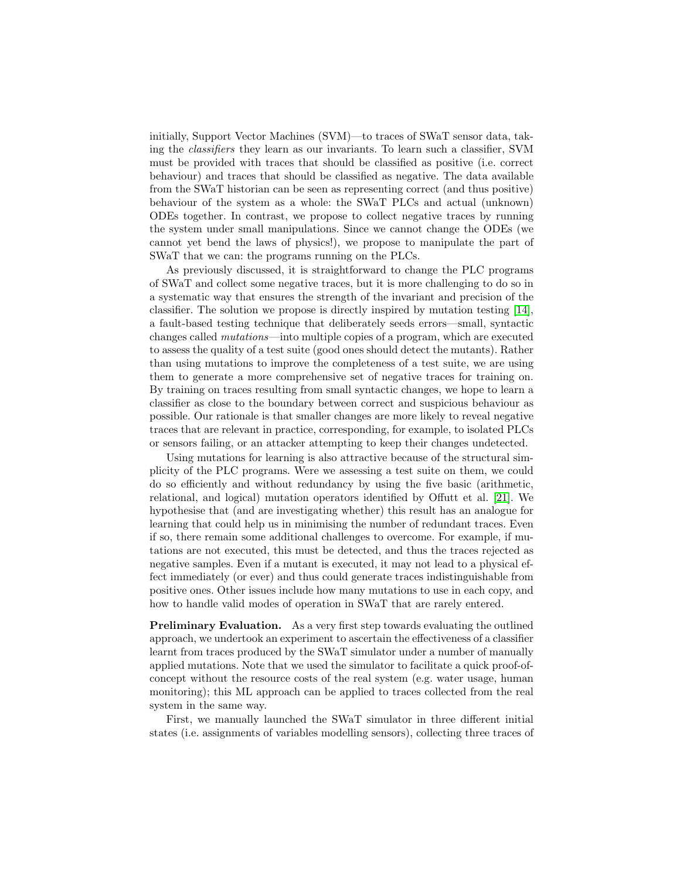initially, Support Vector Machines (SVM)—to traces of SWaT sensor data, taking the classifiers they learn as our invariants. To learn such a classifier, SVM must be provided with traces that should be classified as positive (i.e. correct behaviour) and traces that should be classified as negative. The data available from the SWaT historian can be seen as representing correct (and thus positive) behaviour of the system as a whole: the SWaT PLCs and actual (unknown) ODEs together. In contrast, we propose to collect negative traces by running the system under small manipulations. Since we cannot change the ODEs (we cannot yet bend the laws of physics!), we propose to manipulate the part of SWaT that we can: the programs running on the PLCs.

As previously discussed, it is straightforward to change the PLC programs of SWaT and collect some negative traces, but it is more challenging to do so in a systematic way that ensures the strength of the invariant and precision of the classifier. The solution we propose is directly inspired by mutation testing [\[14\]](#page-7-8), a fault-based testing technique that deliberately seeds errors—small, syntactic changes called mutations—into multiple copies of a program, which are executed to assess the quality of a test suite (good ones should detect the mutants). Rather than using mutations to improve the completeness of a test suite, we are using them to generate a more comprehensive set of negative traces for training on. By training on traces resulting from small syntactic changes, we hope to learn a classifier as close to the boundary between correct and suspicious behaviour as possible. Our rationale is that smaller changes are more likely to reveal negative traces that are relevant in practice, corresponding, for example, to isolated PLCs or sensors failing, or an attacker attempting to keep their changes undetected.

Using mutations for learning is also attractive because of the structural simplicity of the PLC programs. Were we assessing a test suite on them, we could do so efficiently and without redundancy by using the five basic (arithmetic, relational, and logical) mutation operators identified by Offutt et al. [\[21\]](#page-7-14). We hypothesise that (and are investigating whether) this result has an analogue for learning that could help us in minimising the number of redundant traces. Even if so, there remain some additional challenges to overcome. For example, if mutations are not executed, this must be detected, and thus the traces rejected as negative samples. Even if a mutant is executed, it may not lead to a physical effect immediately (or ever) and thus could generate traces indistinguishable from positive ones. Other issues include how many mutations to use in each copy, and how to handle valid modes of operation in SWaT that are rarely entered.

Preliminary Evaluation. As a very first step towards evaluating the outlined approach, we undertook an experiment to ascertain the effectiveness of a classifier learnt from traces produced by the SWaT simulator under a number of manually applied mutations. Note that we used the simulator to facilitate a quick proof-ofconcept without the resource costs of the real system (e.g. water usage, human monitoring); this ML approach can be applied to traces collected from the real system in the same way.

First, we manually launched the SWaT simulator in three different initial states (i.e. assignments of variables modelling sensors), collecting three traces of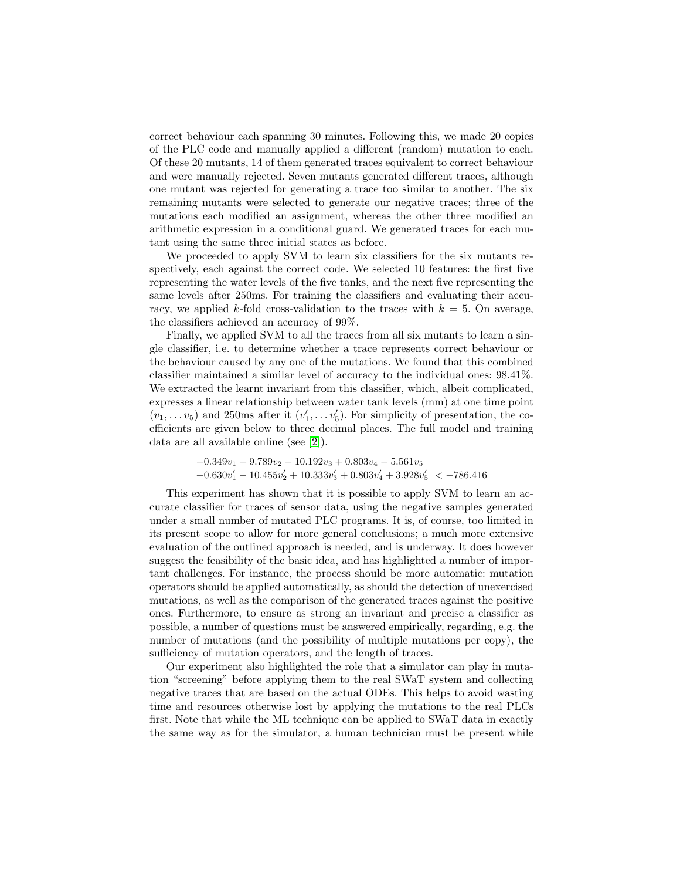correct behaviour each spanning 30 minutes. Following this, we made 20 copies of the PLC code and manually applied a different (random) mutation to each. Of these 20 mutants, 14 of them generated traces equivalent to correct behaviour and were manually rejected. Seven mutants generated different traces, although one mutant was rejected for generating a trace too similar to another. The six remaining mutants were selected to generate our negative traces; three of the mutations each modified an assignment, whereas the other three modified an arithmetic expression in a conditional guard. We generated traces for each mutant using the same three initial states as before.

We proceeded to apply SVM to learn six classifiers for the six mutants respectively, each against the correct code. We selected 10 features: the first five representing the water levels of the five tanks, and the next five representing the same levels after 250ms. For training the classifiers and evaluating their accuracy, we applied k-fold cross-validation to the traces with  $k = 5$ . On average, the classifiers achieved an accuracy of 99%.

Finally, we applied SVM to all the traces from all six mutants to learn a single classifier, i.e. to determine whether a trace represents correct behaviour or the behaviour caused by any one of the mutations. We found that this combined classifier maintained a similar level of accuracy to the individual ones: 98.41%. We extracted the learnt invariant from this classifier, which, albeit complicated, expresses a linear relationship between water tank levels (mm) at one time point  $(v_1, \ldots v_5)$  and 250ms after it  $(v'_1, \ldots v'_5)$ . For simplicity of presentation, the coefficients are given below to three decimal places. The full model and training data are all available online (see [\[2\]](#page-6-3)).

> $-0.349v_1 + 9.789v_2 - 10.192v_3 + 0.803v_4 - 5.561v_5$  $-0.630v'_1 - 10.455v'_2 + 10.333v'_3 + 0.803v'_4 + 3.928v'_5 < -786.416$

This experiment has shown that it is possible to apply SVM to learn an accurate classifier for traces of sensor data, using the negative samples generated under a small number of mutated PLC programs. It is, of course, too limited in its present scope to allow for more general conclusions; a much more extensive evaluation of the outlined approach is needed, and is underway. It does however suggest the feasibility of the basic idea, and has highlighted a number of important challenges. For instance, the process should be more automatic: mutation operators should be applied automatically, as should the detection of unexercised mutations, as well as the comparison of the generated traces against the positive ones. Furthermore, to ensure as strong an invariant and precise a classifier as possible, a number of questions must be answered empirically, regarding, e.g. the number of mutations (and the possibility of multiple mutations per copy), the sufficiency of mutation operators, and the length of traces.

Our experiment also highlighted the role that a simulator can play in mutation "screening" before applying them to the real SWaT system and collecting negative traces that are based on the actual ODEs. This helps to avoid wasting time and resources otherwise lost by applying the mutations to the real PLCs first. Note that while the ML technique can be applied to SWaT data in exactly the same way as for the simulator, a human technician must be present while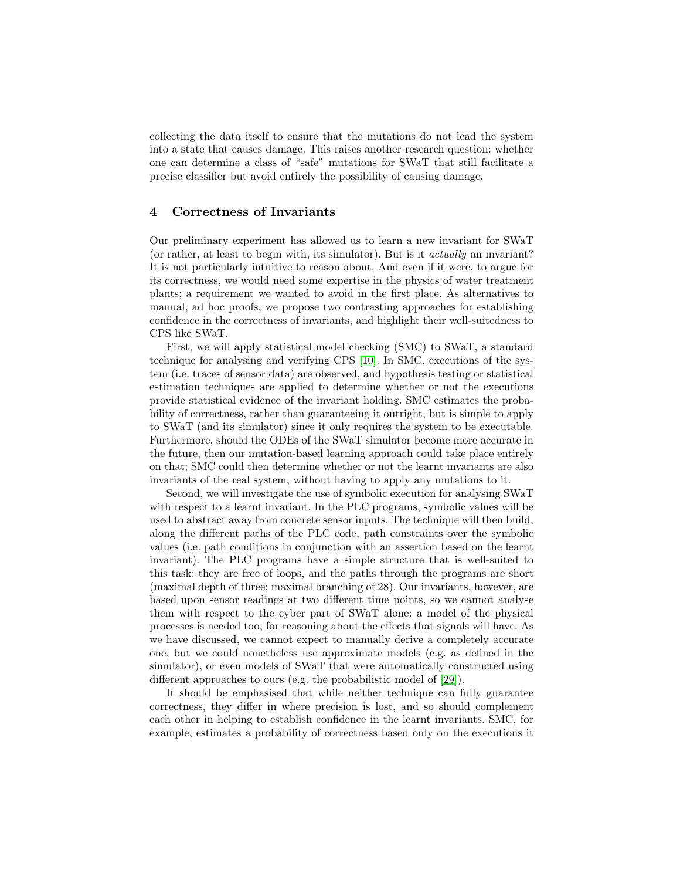collecting the data itself to ensure that the mutations do not lead the system into a state that causes damage. This raises another research question: whether one can determine a class of "safe" mutations for SWaT that still facilitate a precise classifier but avoid entirely the possibility of causing damage.

#### <span id="page-5-0"></span>4 Correctness of Invariants

Our preliminary experiment has allowed us to learn a new invariant for SWaT (or rather, at least to begin with, its simulator). But is it actually an invariant? It is not particularly intuitive to reason about. And even if it were, to argue for its correctness, we would need some expertise in the physics of water treatment plants; a requirement we wanted to avoid in the first place. As alternatives to manual, ad hoc proofs, we propose two contrasting approaches for establishing confidence in the correctness of invariants, and highlight their well-suitedness to CPS like SWaT.

First, we will apply statistical model checking (SMC) to SWaT, a standard technique for analysing and verifying CPS [\[10\]](#page-7-15). In SMC, executions of the system (i.e. traces of sensor data) are observed, and hypothesis testing or statistical estimation techniques are applied to determine whether or not the executions provide statistical evidence of the invariant holding. SMC estimates the probability of correctness, rather than guaranteeing it outright, but is simple to apply to SWaT (and its simulator) since it only requires the system to be executable. Furthermore, should the ODEs of the SWaT simulator become more accurate in the future, then our mutation-based learning approach could take place entirely on that; SMC could then determine whether or not the learnt invariants are also invariants of the real system, without having to apply any mutations to it.

Second, we will investigate the use of symbolic execution for analysing SWaT with respect to a learnt invariant. In the PLC programs, symbolic values will be used to abstract away from concrete sensor inputs. The technique will then build, along the different paths of the PLC code, path constraints over the symbolic values (i.e. path conditions in conjunction with an assertion based on the learnt invariant). The PLC programs have a simple structure that is well-suited to this task: they are free of loops, and the paths through the programs are short (maximal depth of three; maximal branching of 28). Our invariants, however, are based upon sensor readings at two different time points, so we cannot analyse them with respect to the cyber part of SWaT alone: a model of the physical processes is needed too, for reasoning about the effects that signals will have. As we have discussed, we cannot expect to manually derive a completely accurate one, but we could nonetheless use approximate models (e.g. as defined in the simulator), or even models of SWaT that were automatically constructed using different approaches to ours (e.g. the probabilistic model of [\[29\]](#page-8-7)).

It should be emphasised that while neither technique can fully guarantee correctness, they differ in where precision is lost, and so should complement each other in helping to establish confidence in the learnt invariants. SMC, for example, estimates a probability of correctness based only on the executions it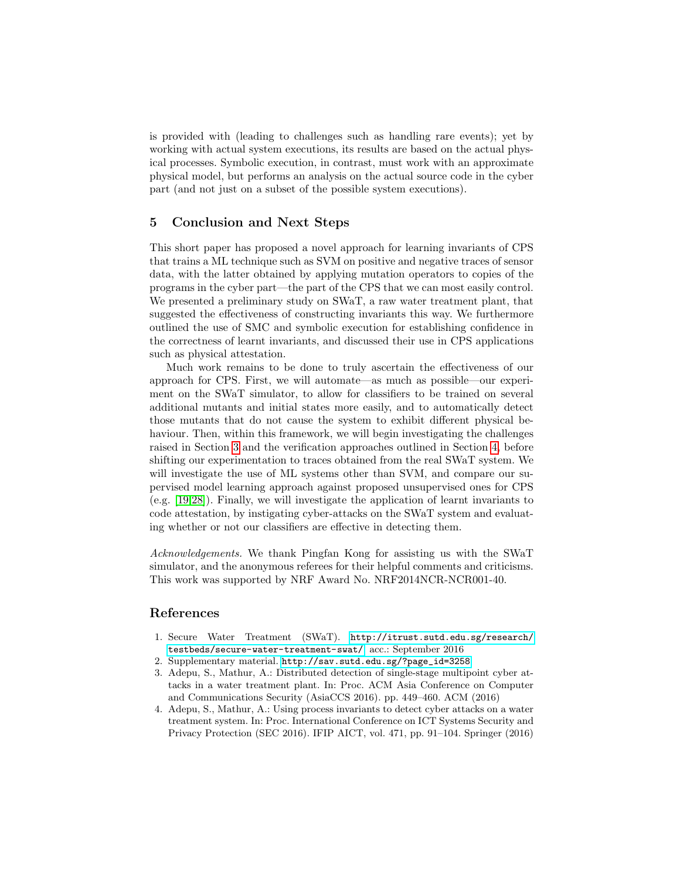is provided with (leading to challenges such as handling rare events); yet by working with actual system executions, its results are based on the actual physical processes. Symbolic execution, in contrast, must work with an approximate physical model, but performs an analysis on the actual source code in the cyber part (and not just on a subset of the possible system executions).

## 5 Conclusion and Next Steps

This short paper has proposed a novel approach for learning invariants of CPS that trains a ML technique such as SVM on positive and negative traces of sensor data, with the latter obtained by applying mutation operators to copies of the programs in the cyber part—the part of the CPS that we can most easily control. We presented a preliminary study on SWaT, a raw water treatment plant, that suggested the effectiveness of constructing invariants this way. We furthermore outlined the use of SMC and symbolic execution for establishing confidence in the correctness of learnt invariants, and discussed their use in CPS applications such as physical attestation.

Much work remains to be done to truly ascertain the effectiveness of our approach for CPS. First, we will automate—as much as possible—our experiment on the SWaT simulator, to allow for classifiers to be trained on several additional mutants and initial states more easily, and to automatically detect those mutants that do not cause the system to exhibit different physical behaviour. Then, within this framework, we will begin investigating the challenges raised in Section [3](#page-2-0) and the verification approaches outlined in Section [4,](#page-5-0) before shifting our experimentation to traces obtained from the real SWaT system. We will investigate the use of ML systems other than SVM, and compare our supervised model learning approach against proposed unsupervised ones for CPS (e.g. [\[19,](#page-7-16)[28\]](#page-8-8)). Finally, we will investigate the application of learnt invariants to code attestation, by instigating cyber-attacks on the SWaT system and evaluating whether or not our classifiers are effective in detecting them.

Acknowledgements. We thank Pingfan Kong for assisting us with the SWaT simulator, and the anonymous referees for their helpful comments and criticisms. This work was supported by NRF Award No. NRF2014NCR-NCR001-40.

## References

- <span id="page-6-0"></span>1. Secure Water Treatment (SWaT). [http://itrust.sutd.edu.sg/research/](http://itrust.sutd.edu.sg/research/testbeds/secure-water-treatment-swat/) [testbeds/secure-water-treatment-swat/](http://itrust.sutd.edu.sg/research/testbeds/secure-water-treatment-swat/), acc.: September 2016
- <span id="page-6-3"></span>2. Supplementary material. [http://sav.sutd.edu.sg/?page\\_id=3258](http://sav.sutd.edu.sg/?page_id=3258)
- <span id="page-6-1"></span>3. Adepu, S., Mathur, A.: Distributed detection of single-stage multipoint cyber attacks in a water treatment plant. In: Proc. ACM Asia Conference on Computer and Communications Security (AsiaCCS 2016). pp. 449–460. ACM (2016)
- <span id="page-6-2"></span>4. Adepu, S., Mathur, A.: Using process invariants to detect cyber attacks on a water treatment system. In: Proc. International Conference on ICT Systems Security and Privacy Protection (SEC 2016). IFIP AICT, vol. 471, pp. 91–104. Springer (2016)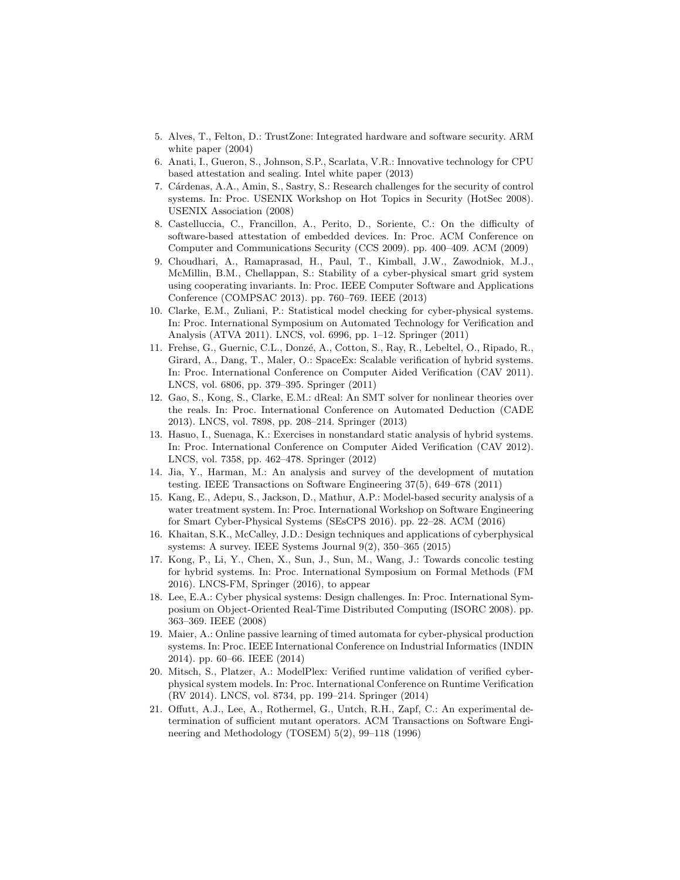- <span id="page-7-11"></span>5. Alves, T., Felton, D.: TrustZone: Integrated hardware and software security. ARM white paper (2004)
- <span id="page-7-12"></span>6. Anati, I., Gueron, S., Johnson, S.P., Scarlata, V.R.: Innovative technology for CPU based attestation and sealing. Intel white paper (2013)
- <span id="page-7-2"></span>7. C´ardenas, A.A., Amin, S., Sastry, S.: Research challenges for the security of control systems. In: Proc. USENIX Workshop on Hot Topics in Security (HotSec 2008). USENIX Association (2008)
- <span id="page-7-13"></span>8. Castelluccia, C., Francillon, A., Perito, D., Soriente, C.: On the difficulty of software-based attestation of embedded devices. In: Proc. ACM Conference on Computer and Communications Security (CCS 2009). pp. 400–409. ACM (2009)
- <span id="page-7-10"></span>9. Choudhari, A., Ramaprasad, H., Paul, T., Kimball, J.W., Zawodniok, M.J., McMillin, B.M., Chellappan, S.: Stability of a cyber-physical smart grid system using cooperating invariants. In: Proc. IEEE Computer Software and Applications Conference (COMPSAC 2013). pp. 760–769. IEEE (2013)
- <span id="page-7-15"></span>10. Clarke, E.M., Zuliani, P.: Statistical model checking for cyber-physical systems. In: Proc. International Symposium on Automated Technology for Verification and Analysis (ATVA 2011). LNCS, vol. 6996, pp. 1–12. Springer (2011)
- <span id="page-7-3"></span>11. Frehse, G., Guernic, C.L., Donzé, A., Cotton, S., Ray, R., Lebeltel, O., Ripado, R., Girard, A., Dang, T., Maler, O.: SpaceEx: Scalable verification of hybrid systems. In: Proc. International Conference on Computer Aided Verification (CAV 2011). LNCS, vol. 6806, pp. 379–395. Springer (2011)
- <span id="page-7-4"></span>12. Gao, S., Kong, S., Clarke, E.M.: dReal: An SMT solver for nonlinear theories over the reals. In: Proc. International Conference on Automated Deduction (CADE 2013). LNCS, vol. 7898, pp. 208–214. Springer (2013)
- <span id="page-7-5"></span>13. Hasuo, I., Suenaga, K.: Exercises in nonstandard static analysis of hybrid systems. In: Proc. International Conference on Computer Aided Verification (CAV 2012). LNCS, vol. 7358, pp. 462–478. Springer (2012)
- <span id="page-7-8"></span>14. Jia, Y., Harman, M.: An analysis and survey of the development of mutation testing. IEEE Transactions on Software Engineering 37(5), 649–678 (2011)
- <span id="page-7-9"></span>15. Kang, E., Adepu, S., Jackson, D., Mathur, A.P.: Model-based security analysis of a water treatment system. In: Proc. International Workshop on Software Engineering for Smart Cyber-Physical Systems (SEsCPS 2016). pp. 22–28. ACM (2016)
- <span id="page-7-0"></span>16. Khaitan, S.K., McCalley, J.D.: Design techniques and applications of cyberphysical systems: A survey. IEEE Systems Journal 9(2), 350–365 (2015)
- <span id="page-7-6"></span>17. Kong, P., Li, Y., Chen, X., Sun, J., Sun, M., Wang, J.: Towards concolic testing for hybrid systems. In: Proc. International Symposium on Formal Methods (FM 2016). LNCS-FM, Springer (2016), to appear
- <span id="page-7-1"></span>18. Lee, E.A.: Cyber physical systems: Design challenges. In: Proc. International Symposium on Object-Oriented Real-Time Distributed Computing (ISORC 2008). pp. 363–369. IEEE (2008)
- <span id="page-7-16"></span>19. Maier, A.: Online passive learning of timed automata for cyber-physical production systems. In: Proc. IEEE International Conference on Industrial Informatics (INDIN 2014). pp. 60–66. IEEE (2014)
- <span id="page-7-7"></span>20. Mitsch, S., Platzer, A.: ModelPlex: Verified runtime validation of verified cyberphysical system models. In: Proc. International Conference on Runtime Verification (RV 2014). LNCS, vol. 8734, pp. 199–214. Springer (2014)
- <span id="page-7-14"></span>21. Offutt, A.J., Lee, A., Rothermel, G., Untch, R.H., Zapf, C.: An experimental determination of sufficient mutant operators. ACM Transactions on Software Engineering and Methodology (TOSEM) 5(2), 99–118 (1996)